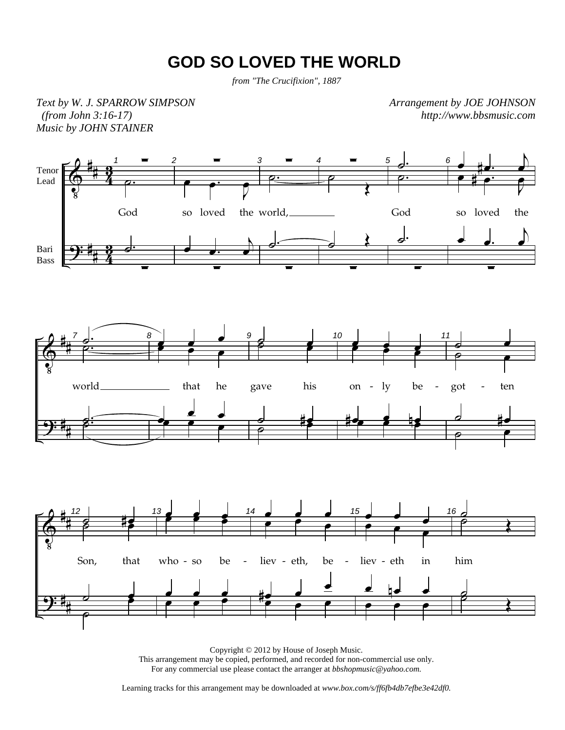## **GOD SO LOVED THE WORLD**

*from "The Crucifixion", 1887*

*Text by W. J. SPARROW SIMPSON (from John 3:16-17) Music by JOHN STAINER* 

*Arrangement by JOE JOHNSON http://www.bbsmusic.com*



Copyright © 2012 by House of Joseph Music. This arrangement may be copied, performed, and recorded for non-commercial use only. For any commercial use please contact the arranger at *bbshopmusic@yahoo.com.*

Learning tracks for this arrangement may be downloaded at *www.box.com/s/ff6fb4db7efbe3e42df0.*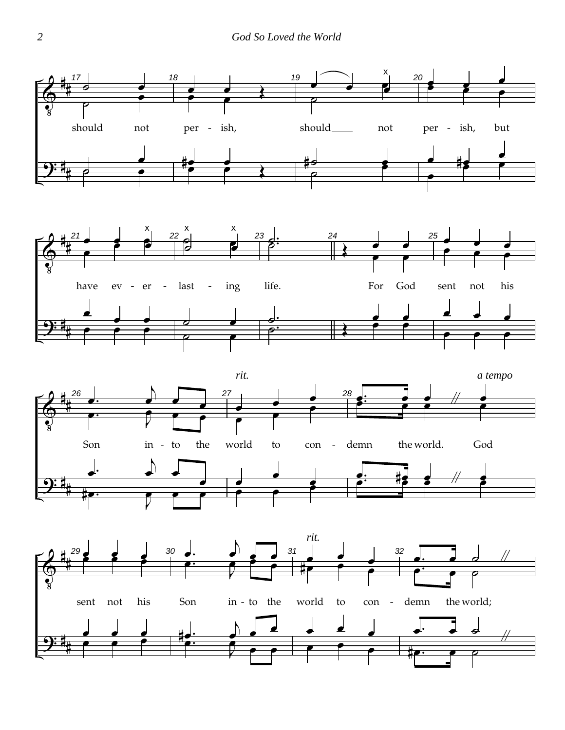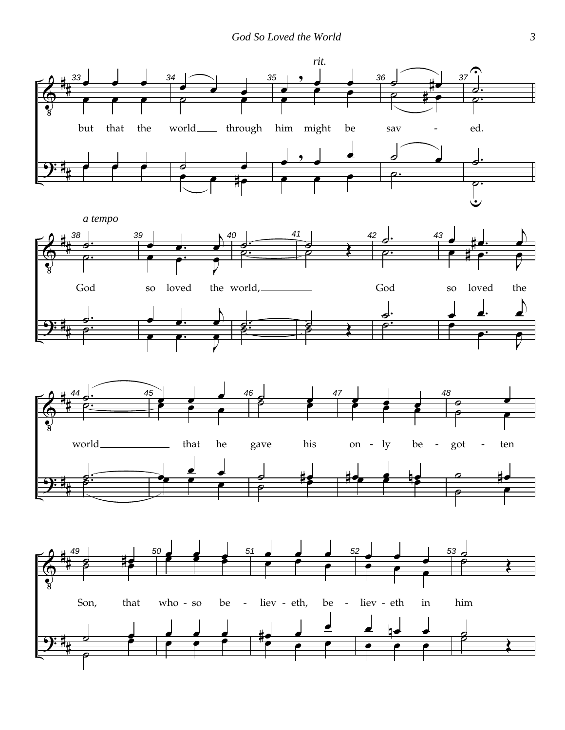